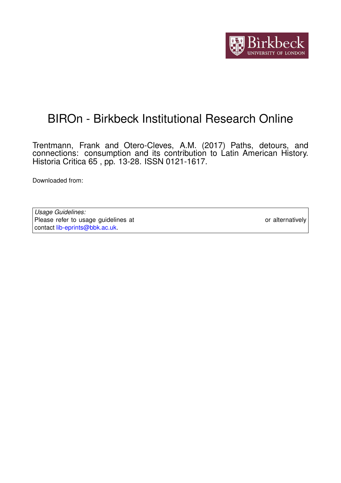

# BIROn - Birkbeck Institutional Research Online

Trentmann, Frank and Otero-Cleves, A.M. (2017) Paths, detours, and connections: consumption and its contribution to Latin American History. Historia Critica 65 , pp. 13-28. ISSN 0121-1617.

Downloaded from: <https://eprints.bbk.ac.uk/id/eprint/19210/>

*Usage Guidelines:* Please refer to usage guidelines at <https://eprints.bbk.ac.uk/policies.html> or alternatively contact [lib-eprints@bbk.ac.uk.](mailto:lib-eprints@bbk.ac.uk)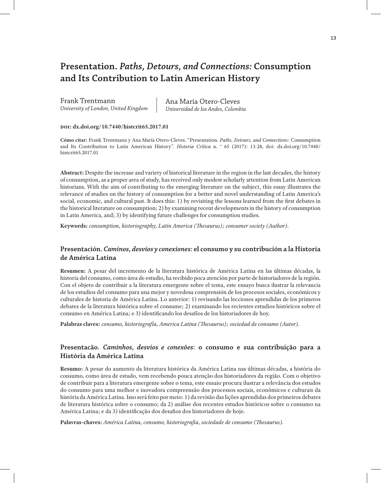## **Presentation.** *Paths, Detours, and Connections:* **Consumption and Its Contribution to Latin American History**

Frank Trentmann *University of London, United Kingdom* Ana María Otero-Cleves *Universidad de los Andes, Colombia*

**doi: dx.doi.org/10.7440/histcrit65.2017.01**

**Cómo citar:** Frank Trentmann y Ana María Otero-Cleves. "Presentation. *Paths, Detours, and Connections:* Consumption and Its Contribution to Latin American History*". Historia Crítica* n. ° 65 (2017): 13-28, doi: dx.doi.org/10.7440/ histcrit65.2017.01

**Abstract:** Despite the increase and variety of historical literature in the region in the last decades, the history of consumption, as a proper area of study, has received only modest scholarly attention from Latin American historians. With the aim of contributing to the emerging literature on the subject, this essay illustrates the relevance of studies on the history of consumption for a better and novel understanding of Latin America's social, economic, and cultural past. It does this: 1) by revisiting the lessons learned from the first debates in the historical literature on consumption; 2) by examining recent developments in the history of consumption in Latin America, and; 3) by identifying future challenges for consumption studies.

**Keywords:** *consumption, historiography, Latin America (Thesaurus); consumer society (Author).*

## **Presentación.** *Caminos, desvíos y conexiones:* **el consumo y su contribución a la Historia de América Latina**

**Resumen:** A pesar del incremento de la literatura histórica de América Latina en las últimas décadas, la historia del consumo, como área de estudio, ha recibido poca atención por parte de historiadores de la región. Con el objeto de contribuir a la literatura emergente sobre el tema, este ensayo busca ilustrar la relevancia de los estudios del consumo para una mejor y novedosa comprensión de los procesos sociales, económicos y culturales de historia de América Latina. Lo anterior: 1) revisando las lecciones aprendidas de los primeros debates de la literatura histórica sobre el consume; 2) examinando los recientes estudios históricos sobre el consumo en América Latina; e 3) identificando los desafíos de los historiadores de hoy.

**Palabras claves:** *consumo, historiografía, America Latina (Thesaurus); sociedad de consumo (Autor).*

## **Presentacão.** *Caminhos, desvios e conexões:* **o consumo e sua contribuição para a História da América Latina**

**Resumo:** A pesar do aumento da literatura histórica da América Latina nas últimas décadas, a história do consumo, como área de estudo, vem recebendo pouca atenção dos historiadores da região. Com o objetivo de contribuir para a literatura emergente sobre o tema, este ensaio procura ilustrar a relevância dos estudos do consumo para uma melhor e inovadora compreensão dos processos sociais, econômicos e culturais da história da América Latina. Isso será feito por meio: 1) da revisão das lições aprendidas dos primeiros debates de literatura histórica sobre o consumo; da 2) análise dos recentes estudos históricos sobre o consumo na América Latina; e da 3) identificação dos desafios dos historiadores de hoje.

**Palavras-chaves:** *América Latina, consumo, historiografia, sociedade de consumo (Thesaurus).*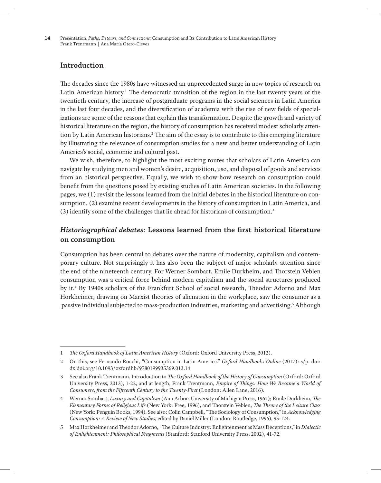**14** Presentation. *Paths*, *Detours, and Connections:* Consumption and Its Contribution to Latin American History Frank Trentmann | Ana María Otero-Cleves

## **Introduction**

The decades since the 1980s have witnessed an unprecedented surge in new topics of research on Latin American history.<sup>1</sup> The democratic transition of the region in the last twenty years of the twentieth century, the increase of postgraduate programs in the social sciences in Latin America in the last four decades, and the diversification of academia with the rise of new fields of specializations are some of the reasons that explain this transformation. Despite the growth and variety of historical literature on the region, the history of consumption has received modest scholarly attention by Latin American historians.<sup>2</sup> The aim of the essay is to contribute to this emerging literature by illustrating the relevance of consumption studies for a new and better understanding of Latin America's social, economic and cultural past.

We wish, therefore, to highlight the most exciting routes that scholars of Latin America can navigate by studying men and women's desire, acquisition, use, and disposal of goods and services from an historical perspective. Equally, we wish to show how research on consumption could benefit from the questions posed by existing studies of Latin American societies. In the following pages, we (1) revisit the lessons learned from the initial debates in the historical literature on consumption, (2) examine recent developments in the history of consumption in Latin America, and (3) identify some of the challenges that lie ahead for historians of consumption.3

## *Historiographical debates:* **Lessons learned from the first historical literature on consumption**

Consumption has been central to debates over the nature of modernity, capitalism and contemporary culture. Not surprisingly it has also been the subject of major scholarly attention since the end of the nineteenth century. For Werner Sombart, Emile Durkheim, and Thorstein Veblen consumption was a critical force behind modern capitalism and the social structures produced by it.4 By 1940s scholars of the Frankfurt School of social research, Theodor Adorno and Max Horkheimer, drawing on Marxist theories of alienation in the workplace, saw the consumer as a passive individual subjected to mass-production industries, marketing and advertising.<sup>5</sup> Although

<sup>1</sup> *The Oxford Handbook of Latin American History* (Oxford: Oxford University Press, 2012).

<sup>2</sup> On this, see Fernando Rocchi, "Consumption in Latin America." *Oxford Handbooks Online* (2017): s/p. doi: dx.doi.org/10.1093/oxfordhb/9780199935369.013.14

<sup>3</sup> See also Frank Trentmann, Introduction to *The Oxford Handbook of the History of Consumption* (Oxford: Oxford University Press, 2013), 1-22, and at length, Frank Trentmann, *Empire of Things: How We Became a World of Consumers, from the Fifteenth Century to the Twenty-First* (London: Allen Lane, 2016).

<sup>4</sup> Werner Sombart, *Luxury and Capitalism* (Ann Arbor: University of Michigan Press, 1967); Emile Durkheim, *The Elementary Forms of Religious Life* (New York: Free, 1996), and Thorstein Veblen, *The Theory of the Leisure Class* (New York: Penguin Books, 1994). See also: Colin Campbell, "The Sociology of Consumption," in *Acknowledging Consumption: A Review of New Studies*, edited by Daniel Miller (London: Routledge, 1996), 95-124.

<sup>5</sup> Max Horkheimer and Theodor Adorno, "The Culture Industry: Enlightenment as Mass Deceptions," in *Dialectic of Enlightenment: Philosophical Fragments* (Stanford: Stanford University Press, 2002), 41-72.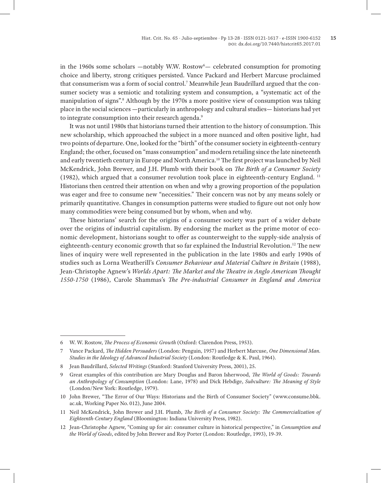in the 1960s some scholars —notably W.W.  $\text{Rostow}^6$ — celebrated consumption for promoting choice and liberty, strong critiques persisted. Vance Packard and Herbert Marcuse proclaimed that consumerism was a form of social control.7 Meanwhile Jean Baudrillard argued that the consumer society was a semiotic and totalizing system and consumption, a "systematic act of the manipulation of signs".8 Although by the 1970s a more positive view of consumption was taking place in the social sciences —particularly in anthropology and cultural studies— historians had yet to integrate consumption into their research agenda.<sup>9</sup>

It was not until 1980s that historians turned their attention to the history of consumption. This new scholarship, which approached the subject in a more nuanced and often positive light, had two points of departure. One, looked for the "birth" of the consumer society in eighteenth-century England; the other, focused on "mass consumption" and modern retailing since the late nineteenth and early twentieth century in Europe and North America.10 The first project was launched by Neil McKendrick, John Brewer, and J.H. Plumb with their book on *The Birth of a Consumer Society* (1982), which argued that a consumer revolution took place in eighteenth-century England. 11 Historians then centred their attention on when and why a growing proportion of the population was eager and free to consume new "necessities." Their concern was not by any means solely or primarily quantitative. Changes in consumption patterns were studied to figure out not only how many commodities were being consumed but by whom, when and why.

These historians' search for the origins of a consumer society was part of a wider debate over the origins of industrial capitalism. By endorsing the market as the prime motor of economic development, historians sought to offer as counterweight to the supply-side analysis of eighteenth-century economic growth that so far explained the Industrial Revolution.12 The new lines of inquiry were well represented in the publication in the late 1980s and early 1990s of studies such as Lorna Weatherill's *Consumer Behaviour and Material Culture in Britain* (1988), Jean-Christophe Agnew's *Worlds Apart: The Market and the Theatre in Anglo American Thought 1550-1750* (1986), Carole Shammas's *The Pre-industrial Consumer in England and America*

<sup>6</sup> W. W. Rostow, *The Process of Economic Growth* (Oxford: Clarendon Press, 1953).

<sup>7</sup> Vance Packard, *The Hidden Persuaders* (London: Penguin, 1957) and Herbert Marcuse, *One Dimensional Man. Studies in the Ideology of Advanced Industrial Society* (London: Routledge & K. Paul, 1964).

<sup>8</sup> Jean Baudrillard, *Selected Writings* (Stanford: Stanford University Press, 2001), 25.

<sup>9</sup> Great examples of this contribution are Mary Douglas and Baron Isherwood, *The World of Goods: Towards an Anthropology of Consumption* (London: Lane, 1978) and Dick Hebdige, *Subculture: The Meaning of Style* (London/New York: Routledge, 1979).

<sup>10</sup> John Brewer, "The Error of Our Ways: Historians and the Birth of Consumer Society" (www.consume.bbk. ac.uk, Working Paper No. 012), June 2004.

<sup>11</sup> Neil McKendrick, John Brewer and J.H. Plumb, *The Birth of a Consumer Society: The Commercialization of Eighteenth-Century England* (Bloomington: Indiana University Press, 1982).

<sup>12</sup> Jean-Christophe Agnew, "Coming up for air: consumer culture in historical perspective," in *Consumption and the World of Goods*, edited by John Brewer and Roy Porter (London: Routledge, 1993), 19-39.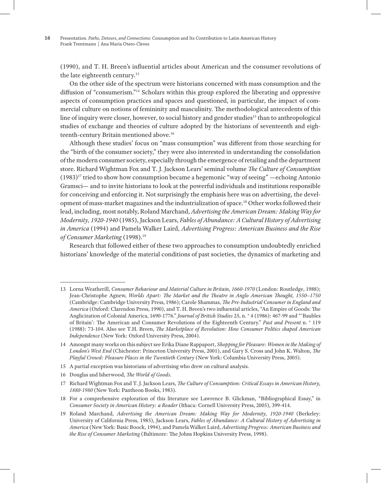(1990), and T. H. Breen's influential articles about American and the consumer revolutions of the late eighteenth century.<sup>13</sup>

On the other side of the spectrum were historians concerned with mass consumption and the diffusion of "consumerism."14 Scholars within this group explored the liberating and oppressive aspects of consumption practices and spaces and questioned, in particular, the impact of commercial culture on notions of femininity and masculinity. The methodological antecedents of this line of inquiry were closer, however, to social history and gender studies<sup>15</sup> than to anthropological studies of exchange and theories of culture adopted by the historians of seventeenth and eighteenth-century Britain mentioned above.16

Although these studies' focus on "mass consumption" was different from those searching for the "birth of the consumer society," they were also interested in understanding the consolidation of the modern consumer society, especially through the emergence of retailing and the department store. Richard Wightman Fox and T. J. Jackson Lears' seminal volume *The Culture of Consumption*   $(1983)^{17}$  tried to show how consumption became a hegemonic "way of seeing" —echoing Antonio Gramsci— and to invite historians to look at the powerful individuals and institutions responsible for conceiving and enforcing it. Not surprisingly the emphasis here was on advertising, the development of mass-market magazines and the industrialization of space.18 Other works followed their lead, including, most notably, Roland Marchand, *Advertising the American Dream: Making Way for Modernity, 1920-1940* (1985), Jackson Lears, *Fables of Abundance: A Cultural History of Advertising in America* (1994) and Pamela Walker Laird, *Advertising Progress: American Business and the Rise of Consumer Marketing* (1998).19

Research that followed either of these two approaches to consumption undoubtedly enriched historians' knowledge of the material conditions of past societies, the dynamics of marketing and

- 15 A partial exception was historians of advertising who drew on cultural analysis.
- 16 Douglas and Isherwood, *The World of Goods.*

18 For a comprehensive exploration of this literature see Lawrence B. Glickman, "Bibliographical Essay," in *Consumer Society in American History: a Reader* (Ithaca: Cornell University Press, 2005), 399-414.

<sup>13</sup> Lorna Weatherill, *Consumer Behaviour and Material Culture in Britain, 1660-1970* (London: Routledge, 1988); Jean-Christophe Agnew, *Worlds Apart: The Market and the Theatre in Anglo American Thought, 1550–1750* (Cambridge: Cambridge University Press, 1986); Carole Shammas, *The Pre-Industrial Consumer in England and America* (Oxford: Clarendon Press, 1990), and T. H. Breen's two influential articles, "An Empire of Goods: The Anglicization of Colonial America, 1690-1776." *Journal of British Studies* 25, n. ° 4 (1986): 467-99 and "'Baubles of Britain': The American and Consumer Revolutions of the Eighteenth Century." *Past and Present* n. ° 119 (1988): 73-104. Also see T.H. Breen, *The Marketplace of Revolution: How Consumer Politics shaped American Independence* (New York: Oxford University Press, 2004).

<sup>14</sup> Amongst many works on this subject see Erika Diane Rappaport, *Shopping for Pleasure: Women in the Making of London's West End* (Chichester: Princeton University Press, 2001), and Gary S. Cross and John K. Walton, *The Playful Crowd: Pleasure Places in the Twentieth Century* (New York: Columbia University Press, 2005).

<sup>17</sup> Richard Wightman Fox and T. J. Jackson Lears, *The Culture of Consumption: Critical Essays in American History, 1880-1980* (New York: Pantheon Books, 1983).

<sup>19</sup> Roland Marchand, *Advertising the American Dream: Making Way for Modernity, 1920-1940* (Berkeley: University of California Press, 1985), Jackson Lears, *Fables of Abundance: A Cultural History of Advertising in America* (New York: Basic Boock, 1994), and Pamela Walker Laird, *Advertising Progress: American Business and the Rise of Consumer Marketing* (Baltimore: The Johns Hopkins University Press, 1998).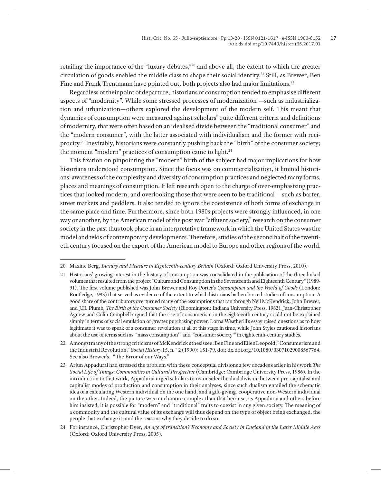retailing the importance of the "luxury debates,"20 and above all, the extent to which the greater circulation of goods enabled the middle class to shape their social identity.21 Still, as Brewer, Ben Fine and Frank Trentmann have pointed out, both projects also had major limitations.<sup>22</sup>

Regardless of their point of departure, historians of consumption tended to emphasise different aspects of "modernity". While some stressed processes of modernization —such as industrialization and urbanization—others explored the development of the modern self. This meant that dynamics of consumption were measured against scholars' quite different criteria and definitions of modernity, that were often based on an idealised divide between the "traditional consumer" and the "modern consumer", with the latter associated with individualism and the former with reciprocity.23 Inevitably, historians were constantly pushing back the "birth" of the consumer society; the moment "modern" practices of consumption came to light.<sup>24</sup>

This fixation on pinpointing the "modern" birth of the subject had major implications for how historians understood consumption. Since the focus was on commercialization, it limited historians' awareness of the complexity and diversity of consumption practices and neglected many forms, places and meanings of consumption. It left research open to the charge of over-emphasizing practices that looked modern, and overlooking those that were seen to be traditional —such as barter, street markets and peddlers. It also tended to ignore the coexistence of both forms of exchange in the same place and time. Furthermore, since both 1980s projects were strongly influenced, in one way or another, by the American model of the post war "affluent society," research on the consumer society in the past thus took place in an interpretative framework in which the United States was the model and telos of contemporary developments. Therefore, studies of the second half of the twentieth century focused on the export of the American model to Europe and other regions of the world.

24 For instance, Christopher Dyer, *An age of transition? Economy and Society in England in the Later Middle Ages* (Oxford: Oxford University Press, 2005).

<sup>20</sup> Maxine Berg, *Luxury and Pleasure in Eighteenth-century Britain* (Oxford: Oxford University Press, 2010).

<sup>21</sup> Historians' growing interest in the history of consumption was consolidated in the publication of the three linked volumes that resulted from the project "Culture and Consumption in the Seventeenth and Eighteenth Century" (1989- 91). The first volume published was John Brewer and Roy Porter's *Consumption and the World of Goods* (London: Routledge, 1993) that served as evidence of the extent to which historians had embraced studies of consumption. A good share of the contributors overturned many of the assumptions that ran through Neil McKendrick, John Brewer, and J.H. Plumb, *The Birth of the Consumer Society* (Bloomington: Indiana University Press, 1982). Jean-Christopher Agnew and Colin Campbell argued that the rise of consumerism in the eighteenth century could not be explained simply in terms of social emulation or greater purchasing power. Lorna Weatherill's essay raised questions as to how legitimate it was to speak of a consumer revolution at all at this stage in time, while John Styles cautioned historians about the use of terms such as "mass consumption'" and "consumer society'" in eighteenth-century studies.

<sup>22</sup> Amongst many of the strong criticisms of McKendrick's thesis see: Ben Fine and Ellen Leopold, "Consumerism and the Industrial Revolution." *Social History* 15, n. ° 2 (1990): 151-79. doi: dx.doi.org/10.1080/03071029008567764. See also Brewer's, "The Error of our Ways."

<sup>23</sup> Arjun Appadurai had stressed the problem with these conceptual divisions a few decades earlier in his work *The Social Life of Things*: *Commodities in Cultural Perspective* (Cambridge: Cambridge University Press, 1986). In the introduction to that work, Appadurai urged scholars to reconsider the dual division between pre-capitalist and capitalist modes of production and consumption in their analyses, since such dualism entailed the schematic idea of a calculating Western individual on the one hand, and a gift-giving, cooperative non-Western individual on the other. Indeed, the picture was much more complex than that because, as Appadurai and others before him insisted, it is possible for "modern" and "traditional" traits to coexist in any given society. The meaning of a commodity and the cultural value of its exchange will thus depend on the type of object being exchanged, the people that exchange it, and the reasons why they decide to do so.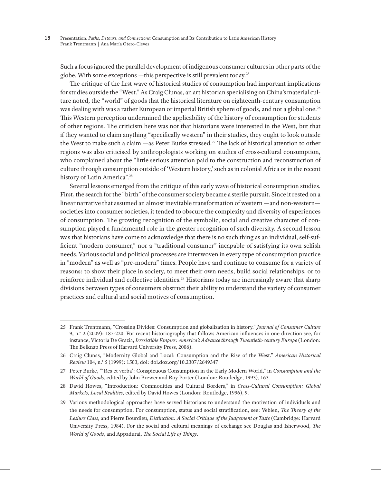Such a focus ignored the parallel development of indigenous consumer cultures in other parts of the globe. With some exceptions —this perspective is still prevalent today.25

The critique of the first wave of historical studies of consumption had important implications for studies outside the "West." As Craig Clunas, an art historian specialising on China's material culture noted, the "world" of goods that the historical literature on eighteenth-century consumption was dealing with was a rather European or imperial British sphere of goods, and not a global one.<sup>26</sup> This Western perception undermined the applicability of the history of consumption for students of other regions. The criticism here was not that historians were interested in the West, but that if they wanted to claim anything "specifically western" in their studies, they ought to look outside the West to make such a claim —as Peter Burke stressed.27 The lack of historical attention to other regions was also criticised by anthropologists working on studies of cross-cultural consumption, who complained about the "little serious attention paid to the construction and reconstruction of culture through consumption outside of 'Western history,' such as in colonial Africa or in the recent history of Latin America".<sup>28</sup>

Several lessons emerged from the critique of this early wave of historical consumption studies. First, the search for the "birth" of the consumer society became a sterile pursuit. Since it rested on a linear narrative that assumed an almost inevitable transformation of western —and non-western societies into consumer societies, it tended to obscure the complexity and diversity of experiences of consumption. The growing recognition of the symbolic, social and creative character of consumption played a fundamental role in the greater recognition of such diversity. A second lesson was that historians have come to acknowledge that there is no such thing as an individual, self-sufficient "modern consumer," nor a "traditional consumer" incapable of satisfying its own selfish needs. Various social and political processes are interwoven in every type of consumption practice in "modern" as well as "pre-modern" times. People have and continue to consume for a variety of reasons: to show their place in society, to meet their own needs, build social relationships, or to reinforce individual and collective identities.<sup>29</sup> Historians today are increasingly aware that sharp divisions between types of consumers obstruct their ability to understand the variety of consumer practices and cultural and social motives of consumption.

<sup>25</sup> Frank Trentmann, "Crossing Divides: Consumption and globalization in history." *Journal of Consumer Culture* 9, n.° 2 (2009): 187-220. For recent historiography that follows American influences in one direction see, for instance, Victoria De Grazia, *Irresistible Empire: America's Advance through Twentieth-century Europe* (London: The Belknap Press of Harvard University Press, 2006).

<sup>26</sup> Craig Clunas, "Modernity Global and Local: Consumption and the Rise of the West." *American Historical Review* 104, n.° 5 (1999): 1503, doi: doi.dox.org/10.2307/2649347

<sup>27</sup> Peter Burke, "'Res et verba': Conspicuous Consumption in the Early Modern World," in *Consumption and the World of Goods*, edited by John Brewer and Roy Porter (London: Routledge, 1993), 163.

<sup>28</sup> David Howes, "Introduction: Commodities and Cultural Borders," in *Cross-Cultural Consumption: Global Markets, Local Realities*, edited by David Howes (London: Routledge, 1996), 9.

<sup>29</sup> Various methodological approaches have served historians to understand the motivation of individuals and the needs for consumption. For consumption, status and social stratification, see: Veblen, *The Theory of the Lesiure Class,* and Pierre Bourdieu, *Distinction: A Social Critique of the Judgement of Taste* (Cambridge: Harvard University Press, 1984). For the social and cultural meanings of exchange see Douglas and Isherwood, *The World of Goods*, and Appadurai, *The Social Life of Things*.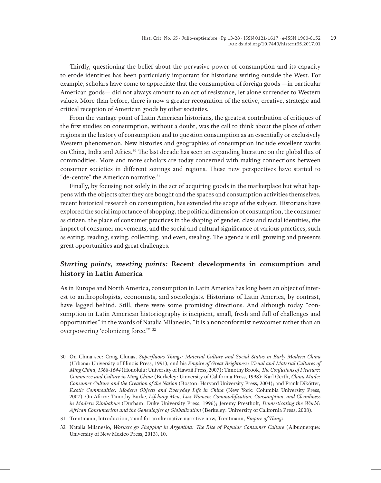Thirdly, questioning the belief about the pervasive power of consumption and its capacity to erode identities has been particularly important for historians writing outside the West. For example, scholars have come to appreciate that the consumption of foreign goods —in particular American goods— did not always amount to an act of resistance, let alone surrender to Western values. More than before, there is now a greater recognition of the active, creative, strategic and critical reception of American goods by other societies.

From the vantage point of Latin American historians, the greatest contribution of critiques of the first studies on consumption, without a doubt, was the call to think about the place of other regions in the history of consumption and to question consumption as an essentially or exclusively Western phenomenon. New histories and geographies of consumption include excellent works on China, India and Africa.30 The last decade has seen an expanding literature on the global flux of commodities. More and more scholars are today concerned with making connections between consumer societies in different settings and regions. These new perspectives have started to "de-centre" the American narrative.<sup>31</sup>

Finally, by focusing not solely in the act of acquiring goods in the marketplace but what happens with the objects after they are bought and the spaces and consumption activities themselves, recent historical research on consumption, has extended the scope of the subject. Historians have explored the social importance of shopping, the political dimension of consumption, the consumer as citizen, the place of consumer practices in the shaping of gender, class and racial identities, the impact of consumer movements, and the social and cultural significance of various practices, such as eating, reading, saving, collecting, and even, stealing. The agenda is still growing and presents great opportunities and great challenges.

## *Starting points, meeting points:* **Recent developments in consumption and history in Latin America**

As in Europe and North America, consumption in Latin America has long been an object of interest to anthropologists, economists, and sociologists. Historians of Latin America, by contrast, have lagged behind. Still, there were some promising directions. And although today "consumption in Latin American historiography is incipient, small, fresh and full of challenges and opportunities" in the words of Natalia Milanesio, "it is a nonconformist newcomer rather than an overpowering 'colonizing force.'" 32

<sup>30</sup> On China see: Craig Clunas, *Superfluous Things: Material Culture and Social Status in Early Modern China* (Urbana: University of Illinois Press, 1991), and his *Empire of Great Brightness: Visual and Material Cultures of Ming China, 1368-1644* (Honolulu: University of Hawaii Press, 2007); Timothy Brook, *The Confusions of Pleasure: Commerce and Culture in Ming China* (Berkeley: University of California Press, 1998); Karl Gerth, *China Made: Consumer Culture and the Creation of the Nation* (Boston: Harvard University Press, 2004); and Frank Dikötter, *Exotic Commodities: Modern Objects and Everyday Life in China* (New York: Columbia University Press, 2007). On Africa: Timothy Burke, *Lifebuoy Men, Lux Women: Commodification, Consumption, and Cleanliness in Modern Zimbabwe* (Durham: Duke University Press, 1996); Jeremy Prestholt, *Domesticating the World: African Consumerism and the Genealogies of Globalization* (Berkeley: University of California Press, 2008).

<sup>31</sup> Trentmann, Introduction, 7 and for an alternative narrative now, Trentmann, *Empire of Things.*

<sup>32</sup> Natalia Milanesio, *Workers go Shopping in Argentina: The Rise of Popular Consumer Culture* (Albuquerque: University of New Mexico Press, 2013), 10.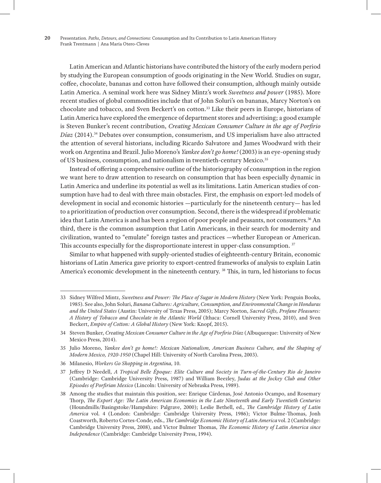Latin American and Atlantic historians have contributed the history of the early modern period by studying the European consumption of goods originating in the New World. Studies on sugar, coffee, chocolate, bananas and cotton have followed their consumption, although mainly outside Latin America. A seminal work here was Sidney Mintz's work *Sweetness and power* (1985). More recent studies of global commodities include that of John Soluri's on bananas, Marcy Norton's on chocolate and tobacco, and Sven Beckert's on cotton.33 Like their peers in Europe, historians of Latin America have explored the emergence of department stores and advertising; a good example is Steven Bunker's recent contribution, *Creating Mexican Consumer Culture in the age of Porfirio Díaz* (2014).34 Debates over consumption, consumerism, and US imperialism have also attracted the attention of several historians, including Ricardo Salvatore and James Woodward with their work on Argentina and Brazil. Julio Moreno's *Yankee don't go home!* (2003) is an eye-opening study of US business, consumption, and nationalism in twentieth-century Mexico.<sup>35</sup>

Instead of offering a comprehensive outline of the historiography of consumption in the region we want here to draw attention to research on consumption that has been especially dynamic in Latin America and underline its potential as well as its limitations. Latin American studies of consumption have had to deal with three main obstacles. First, the emphasis on export-led models of development in social and economic histories —particularly for the nineteenth century— has led to a prioritization of production over consumption. Second, there is the widespread if problematic idea that Latin America is and has been a region of poor people and peasants, not consumers.<sup>36</sup> An third, there is the common assumption that Latin Americans, in their search for modernity and civilization, wanted to "emulate" foreign tastes and practices —whether European or American. This accounts especially for the disproportionate interest in upper-class consumption. 37

Similar to what happened with supply-oriented studies of eighteenth-century Britain, economic historians of Latin America gave priority to export-centred frameworks of analysis to explain Latin America's economic development in the nineteenth century. 38 This, in turn, led historians to focus

36 Milanesio, *Workers Go Shopping in Argentina,* 10.

<sup>33</sup> Sidney Wilfred Mintz, *Sweetness and Power: The Place of Sugar in Modern History* (New York: Penguin Books, 1985). See also, John Soluri, *Banana Cultures: Agriculture, Consumption, and Environmental Change in Honduras and the United States* (Austin: University of Texas Press, 2005); Marcy Norton, *Sacred Gifts, Profane Pleasures: A History of Tobacco and Chocolate in the Atlantic World* (Ithaca: Cornell University Press, 2010), and Sven Beckert, *Empire of Cotton: A Global History* (New York: Knopf, 2015).

<sup>34</sup> Steven Bunker, *Creating Mexican Consumer Culture in the Age of Porfirio Díaz* (Albuquerque: University of New Mexico Press, 2014).

<sup>35</sup> Julio Moreno, *Yankee don't go home!: Mexican Nationalism, American Business Culture, and the Shaping of Modern Mexico, 1920-1950* (Chapel Hill: University of North Carolina Press, 2003).

<sup>37</sup> Jeffrey D Needell, *A Tropical Belle Époque: Elite Culture and Society in Turn-of-the-Century Rio de Janeiro* (Cambridge: Cambridge University Press, 1987) and William Beezley, J*udas at the Jockey Club and Other Episodes of Porfirian Mexico* (Lincoln: University of Nebraska Press, 1989).

<sup>38</sup> Among the studies that maintain this position, see: Enrique Cárdenas, José Antonio Ocampo, and Rosemary Thorp, *The Export Age: The Latin American Economies in the Late Nineteenth and Early Twentieth Centuries* (Houndmills/Basingstoke/Hampshire: Palgrave, 2000); Leslie Bethell, ed., *The Cambridge History of Latin America* vol. 4 (London: Cambridge: Cambridge University Press, 1986); Victor Bulme-Thomas, Jonh Coastworth, Roberto Cortes-Conde, eds., *The Cambridge Economic History of Latin America* vol. 2 (Cambridge: Cambridge University Press, 2008), and Victor Bulmer Thomas, *The Economic History of Latin America since Independence* (Cambridge: Cambridge University Press, 1994).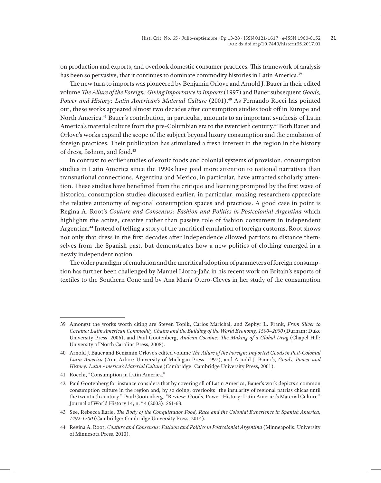on production and exports, and overlook domestic consumer practices. This framework of analysis has been so pervasive, that it continues to dominate commodity histories in Latin America.<sup>39</sup>

The new turn to imports was pioneered by Benjamin Orlove and Arnold J. Bauer in their edited volume *The Allure of the Foreign: Giving Importance to Imports* (1997) and Bauer subsequent *Goods, Power and History: Latin American's Material Culture* (2001).<sup>40</sup> As Fernando Rocci has pointed out, these works appeared almost two decades after consumption studies took off in Europe and North America.41 Bauer's contribution, in particular, amounts to an important synthesis of Latin America's material culture from the pre-Columbian era to the twentieth century.42 Both Bauer and Orlove's works expand the scope of the subject beyond luxury consumption and the emulation of foreign practices. Their publication has stimulated a fresh interest in the region in the history of dress, fashion, and food.43

In contrast to earlier studies of exotic foods and colonial systems of provision, consumption studies in Latin America since the 1990s have paid more attention to national narratives than transnational connections. Argentina and Mexico, in particular, have attracted scholarly attention. These studies have benefitted from the critique and learning prompted by the first wave of historical consumption studies discussed earlier, in particular, making researchers appreciate the relative autonomy of regional consumption spaces and practices. A good case in point is Regina A. Root's *Couture and Consensus: Fashion and Politics in Postcolonial Argentina* which highlights the active, creative rather than passive role of fashion consumers in independent Argentina.44 Instead of telling a story of the uncritical emulation of foreign customs, Root shows not only that dress in the first decades after Independence allowed patriots to distance themselves from the Spanish past, but demonstrates how a new politics of clothing emerged in a newly independent nation.

The older paradigm of emulation and the uncritical adoption of parameters of foreign consumption has further been challenged by Manuel Llorca-Jaña in his recent work on Britain's exports of textiles to the Southern Cone and by Ana María Otero-Cleves in her study of the consumption

<sup>39</sup> Amongst the works worth citing are Steven Topik, Carlos Marichal, and Zephyr L. Frank, *From Silver to Cocaine: Latin American Commodity Chains and the Building of the World Economy, 1500–2000* (Durham: Duke University Press, 2006), and Paul Gootenberg, *Andean Cocaine: The Making of a Global Drug* (Chapel Hill: University of North Carolina Press, 2008).

<sup>40</sup> Arnold J. Bauer and Benjamin Orlove's edited volume *The Allure of the Foreign: Imported Goods in Post-Colonial Latin America* (Ann Arbor: University of Michigan Press, 1997), and Arnold J. Bauer's, *Goods, Power and History: Latin America's Material Culture* (Cambridge: Cambridge University Press, 2001).

<sup>41</sup> Rocchi, "Consumption in Latin America."

<sup>42</sup> Paul Gootenberg for instance considers that by covering all of Latin America, Bauer's work depicts a common consumption culture in the region and, by so doing, overlooks "the insularity of regional patrias chicas until the twentieth century." Paul Gootenberg, "Review: Goods, Power, History: Latin America's Material Culture." Journal of World History 14, n. ° 4 (2003): 561-63.

<sup>43</sup> See, Rebecca Earle, *The Body of the Conquistador Food, Race and the Colonial Experience in Spanish America, 1492-1700* (Cambridge: Cambridge University Press, 2014).

<sup>44</sup> Regina A. Root, *Couture and Consensus: Fashion and Politics in Postcolonial Argentina* (Minneapolis: University of Minnesota Press, 2010).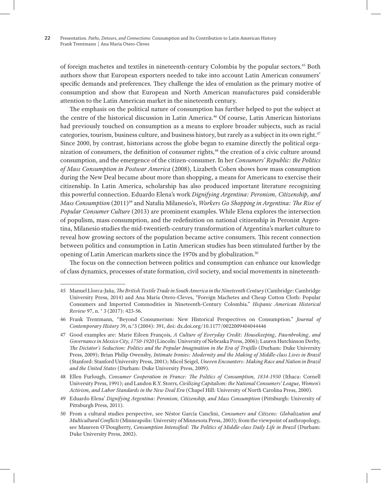of foreign machetes and textiles in nineteenth-century Colombia by the popular sectors.45 Both authors show that European exporters needed to take into account Latin American consumers' specific demands and preferences. They challenge the idea of emulation as the primary motive of consumption and show that European and North American manufactures paid considerable attention to the Latin American market in the nineteenth century.

The emphasis on the political nature of consumption has further helped to put the subject at the centre of the historical discussion in Latin America.46 Of course, Latin American historians had previously touched on consumption as a means to explore broader subjects, such as racial categories, tourism, business culture, and business history, but rarely as a subject in its own right.47 Since 2000, by contrast, historians across the globe began to examine directly the political organization of consumers, the definition of consumer rights,48 the creation of a civic culture around consumption, and the emergence of the citizen-consumer. In her *Consumers' Republic: the Politics of Mass Consumption in Postwar America* (2008), Lizabeth Cohen shows how mass consumption during the New Deal became about more than shopping, a means for Americans to exercise their citizenship. In Latin America, scholarship has also produced important literature recognizing this powerful connection. Eduardo Elena's work *Dignifying Argentina: Peronism, Citizenship, and Mass Consumption* (2011)<sup>49</sup> and Natalia Milanesio's, *Workers Go Shopping in Argentina: The Rise of Popular Consumer Culture* (2013) are prominent examples. While Elena explores the intersection of populism, mass consumption, and the redefinition on national citizenship in Peronist Argentina, Milanesio studies the mid-twentieth-century transformation of Argentina's market culture to reveal how growing sectors of the population became active consumers. This recent connection between politics and consumption in Latin American studies has been stimulated further by the opening of Latin American markets since the 1970s and by globalization.<sup>50</sup>

The focus on the connection between politics and consumption can enhance our knowledge of class dynamics, processes of state formation, civil society, and social movements in nineteenth-

<sup>45</sup> Manuel Llorca-Jaña, *The British Textile Trade in South America in the Nineteenth Century* (Cambridge: Cambridge University Press, 2014) and Ana María Otero-Cleves, "Foreign Machetes and Cheap Cotton Cloth: Popular Consumers and Imported Commodities in Nineteenth-Century Colombia." *Hispanic American Historical Review* 97, n. ° 3 (2017): 423-56.

<sup>46</sup> Frank Trentmann, "Beyond Consumerism: New Historical Perspectives on Consumption." *Journal of Contemporary History* 39, n.°3 (2004): 391, doi: dx.doi.org/10.1177/0022009404044446

<sup>47</sup> Good examples are: Marie Eileen François, *A Culture of Everyday Credit: Housekeeping, Pawnbroking, and Governance in Mexico City, 1750-1920* (Lincoln: University of Nebraska Press, 2006); Lauren Hutchinson Derby, *The Dictator's Seduction: Politics and the Popular Imagination in the Era of Trujillo* (Durham: Duke University Press, 2009); Brian Philip Owensby, *Intimate Ironies: Modernity and the Making of Middle-class Lives in Brazil* (Stanford: Stanford University Press, 2001); Micol Seigel, *Uneven Encounters: Making Race and Nation in Brazil and the United States* (Durham: Duke University Press, 2009).

<sup>48</sup> Ellen Furlough, *Consumer Cooperation in France: The Politics of Consumption, 1834-1930* (Ithaca: Cornell University Press, 1991); and Landon R.Y. Storrs, *Civilizing Capitalism: the National Consumers' League, Women's Activism, and Labor Standards in the New Deal Era* (Chapel Hill: University of North Carolina Press, 2000).

<sup>49</sup> Eduardo Elena' *Dignifying Argentina: Peronism, Citizenship, and Mass Consumption* (Pittsburgh: University of Pittsburgh Press, 2011).

<sup>50</sup> From a cultural studies perspective, see Néstor García Canclini, *Consumers and Citizens: Globalization and Multicultural Conflicts* (Minneapolis: University of Minnesota Press, 2003); from the viewpoint of anthropology, see Maureen O'Dougherty, *Consumption Intensified: The Politics of Middle-class Daily Life in Brazil* (Durham: Duke University Press, 2002).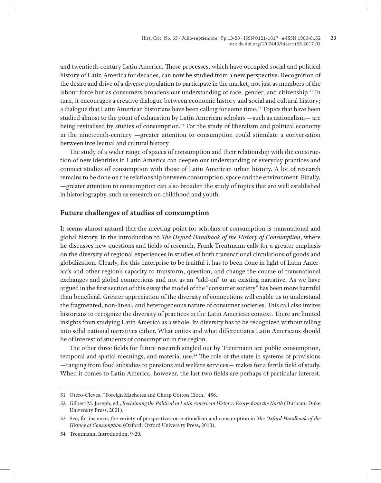and twentieth-century Latin America. These processes, which have occupied social and political history of Latin America for decades, can now be studied from a new perspective. Recognition of the desire and drive of a diverse population to participate in the market, not just as members of the labour force but as consumers broadens our understanding of race, gender, and citizenship.<sup>51</sup> In turn, it encourages a creative dialogue between economic history and social and cultural history; a dialogue that Latin American historians have been calling for some time.52 Topics that have been studied almost to the point of exhaustion by Latin American scholars —such as nationalism— are being revitalised by studies of consumption.53 For the study of liberalism and political economy in the nineteenth-century —greater attention to consumption could stimulate a conversation between intellectual and cultural history.

The study of a wider range of spaces of consumption and their relationship with the construction of new identities in Latin America can deepen our understanding of everyday practices and connect studies of consumption with those of Latin American urban history. A lot of research remains to be done on the relationship between consumption, space and the environment. Finally, —greater attention to consumption can also broaden the study of topics that are well established in historiography, such as research on childhood and youth.

## **Future challenges of studies of consumption**

It seems almost natural that the meeting point for scholars of consumption is transnational and global history. In the introduction to *The Oxford Handbook of the History of Consumption*, where he discusses new questions and fields of research, Frank Trentmann calls for a greater emphasis on the diversity of regional experiences in studies of both transnational circulations of goods and globalization. Clearly, for this enterprise to be fruitful it has to been done in light of Latin America's and other region's capacity to transform, question, and change the course of transnational exchanges and global connections and not as an "add-on" to an existing narrative. As we have argued in the first section of this essay the model of the "consumer society" has been more harmful than beneficial. Greater appreciation of the diversity of connections will enable us to understand the fragmented, non-lineal, and heterogeneous nature of consumer societies. This call also invites historians to recognize the diversity of practices in the Latin American context. There are limited insights from studying Latin America as a whole. Its diversity has to be recognized without falling into solid national narratives either. What unites and what differentiates Latin Americans should be of interest of students of consumption in the region.

The other three fields for future research singled out by Trentmann are public consumption, temporal and spatial meanings, and material use.54 The role of the state in systems of provisions —ranging from food subsidies to pensions and welfare services— makes for a fertile field of study. When it comes to Latin America, however, the last two fields are perhaps of particular interest.

<sup>51</sup> Otero-Cleves, "Foreign Machetes and Cheap Cotton Cloth," 456.

<sup>52</sup> Gilbert M. Joseph, ed., *Reclaiming the Political in Latin American History: Essays from the North* (Durham: Duke University Press, 2001).

<sup>53</sup> See, for instance, the variety of perspectives on nationalism and consumption in *The Oxford Handbook of the History of Consumption* (Oxford: Oxford University Press, 2013).

<sup>54</sup> Trentmann, Introduction, 9-20.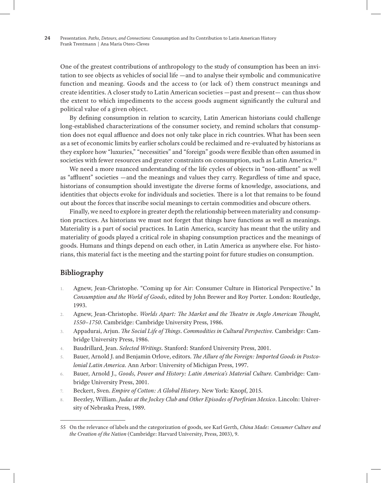One of the greatest contributions of anthropology to the study of consumption has been an invitation to see objects as vehicles of social life —and to analyse their symbolic and communicative function and meaning. Goods and the access to (or lack of) them construct meanings and create identities. A closer study to Latin American societies —past and present— can thus show the extent to which impediments to the access goods augment significantly the cultural and political value of a given object.

By defining consumption in relation to scarcity, Latin American historians could challenge long-established characterizations of the consumer society, and remind scholars that consumption does not equal affluence and does not only take place in rich countries. What has been seen as a set of economic limits by earlier scholars could be reclaimed and re-evaluated by historians as they explore how "luxuries," "necessities" and "foreign" goods were flexible than often assumed in societies with fewer resources and greater constraints on consumption, such as Latin America.<sup>55</sup>

We need a more nuanced understanding of the life cycles of objects in "non-affluent" as well as "affluent" societies —and the meanings and values they carry. Regardless of time and space, historians of consumption should investigate the diverse forms of knowledge, associations, and identities that objects evoke for individuals and societies. There is a lot that remains to be found out about the forces that inscribe social meanings to certain commodities and obscure others.

Finally, we need to explore in greater depth the relationship between materiality and consumption practices. As historians we must not forget that things have functions as well as meanings. Materiality is a part of social practices. In Latin America, scarcity has meant that the utility and materiality of goods played a critical role in shaping consumption practices and the meanings of goods. Humans and things depend on each other, in Latin America as anywhere else. For historians, this material fact is the meeting and the starting point for future studies on consumption.

## **Bibliography**

- 1. Agnew, Jean-Christophe. "Coming up for Air: Consumer Culture in Historical Perspective." In *Consumption and the World of Goods*, edited by John Brewer and Roy Porter*.* London: Routledge, 1993.
- 2. Agnew, Jean-Christophe. *Worlds Apart: The Market and the Theatre in Anglo American Thought, 1550–1750*. Cambridge: Cambridge University Press, 1986.
- 3. Appadurai, Arjun. *The Social Life of Things*. *Commodities in Cultural Perspective.* Cambridge: Cambridge University Press, 1986.
- 4. Baudrillard, Jean. *Selected Writings*. Stanford: Stanford University Press, 2001.
- 5. Bauer, Arnold J. and Benjamin Orlove, editors. *The Allure of the Foreign: Imported Goods in Postcolonial Latin America.* Ann Arbor: University of Michigan Press, 1997.
- 6. Bauer, Arnold J., *Goods, Power and History: Latin America's Material Culture.* Cambridge: Cambridge University Press, 2001.
- 7. Beckert, Sven. *Empire of Cotton: A Global History*. New York: Knopf, 2015.
- 8. Beezley, William. *Judas at the Jockey Club and Other Episodes of Porfirian Mexico*. Lincoln: University of Nebraska Press, 1989.

<sup>55</sup> On the relevance of labels and the categorization of goods, see Karl Gerth, *China Made: Consumer Culture and the Creation of the Nation* (Cambridge: Harvard University, Press, 2003), 9.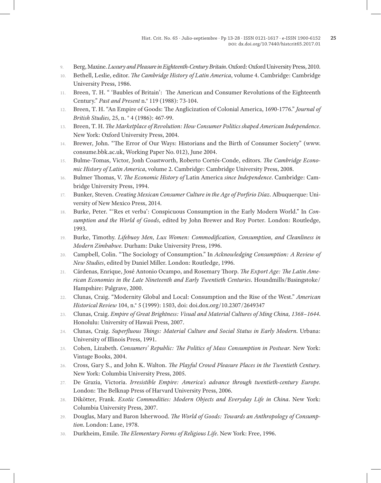- 9. Berg, Maxine. *Luxury and Pleasure in Eighteenth-Century Britain*. Oxford: Oxford University Press, 2010.
- 10. Bethell, Leslie, editor. *The Cambridge History of Latin America*, volume 4. Cambridge: Cambridge University Press, 1986.
- 11. Breen, T. H. " 'Baubles of Britain': The American and Consumer Revolutions of the Eighteenth Century." *Past and Present* n.° 119 (1988): 73-104.
- 12. Breen, T. H. "An Empire of Goods: The Anglicization of Colonial America, 1690-1776." *Journal of British Studies,* 25, n. ° 4 (1986): 467-99.
- 13. Breen, T. H. *The Marketplace of Revolution: How Consumer Politics shaped American Independence*. New York: Oxford University Press, 2004.
- 14. Brewer, John. "The Error of Our Ways: Historians and the Birth of Consumer Society" (www. consume.bbk.ac.uk, Working Paper No. 012), June 2004.
- 15. Bulme-Tomas, Victor, Jonh Coastworth, Roberto Cortés-Conde, editors. *The Cambridge Economic History of Latin America*, volume 2. Cambridge: Cambridge University Press, 2008.
- 16. Bulmer Thomas, V. *The Economic History of* Latin America *since Independence*. Cambridge: Cambridge University Press, 1994.
- 17. Bunker, Steven. *Creating Mexican Consumer Culture in the Age of Porfirio Díaz*. Albuquerque: University of New Mexico Press, 2014.
- 18. Burke, Peter. "'Res et verba': Conspicuous Consumption in the Early Modern World." In *Consumption and the World of Goods*, edited by John Brewer and Roy Porter*.* London: Routledge, 1993.
- 19. Burke, Timothy. *Lifebuoy Men, Lux Women: Commodification, Consumption, and Cleanliness in Modern Zimbabwe.* Durham: Duke University Press, 1996.
- 20. Campbell, Colin. "The Sociology of Consumption." In *Acknowledging Consumption: A Review of New Studies*, edited by Daniel Miller. London: Routledge, 1996.
- 21. Cárdenas, Enrique, José Antonio Ocampo, and Rosemary Thorp. *The Export Age: The Latin American Economies in the Late Nineteenth and Early Twentieth Centuries*. Houndmills/Basingstoke/ Hampshire: Palgrave, 2000.
- 22. Clunas, Craig. "Modernity Global and Local: Consumption and the Rise of the West." *American Historical Review* 104, n.° 5 (1999): 1503, doi: doi.dox.org/10.2307/2649347
- 23. Clunas, Craig. *Empire of Great Brightness: Visual and Material Cultures of Ming China, 1368–1644*. Honolulu: University of Hawaii Press, 2007.
- 24. Clunas, Craig. *Superfluous Things: Material Culture and Social Status in Early Modern*. Urbana: University of Illinois Press, 1991.
- 25. Cohen, Lizabeth. *Consumers' Republic: The Politics of Mass Consumption in Postwar.* New York: Vintage Books, 2004.
- 26. Cross, Gary S., and John K. Walton. *The Playful Crowd Pleasure Places in the Twentieth Century.*  New York: Columbia University Press, 2005.
- 27. De Grazia, Victoria. *Irresistible Empire: America's advance through twentieth-century Europe.*  London: The Belknap Press of Harvard University Press, 2006.
- 28. Dikötter, Frank. *Exotic Commodities: Modern Objects and Everyday Life in China*. New York: Columbia University Press, 2007.
- 29. Douglas, Mary and Baron Isherwood. *The World of Goods: Towards an Anthropology of Consumption*. London: Lane, 1978.
- 30. Durkheim, Emile. *The Elementary Forms of Religious Life*. New York: Free, 1996.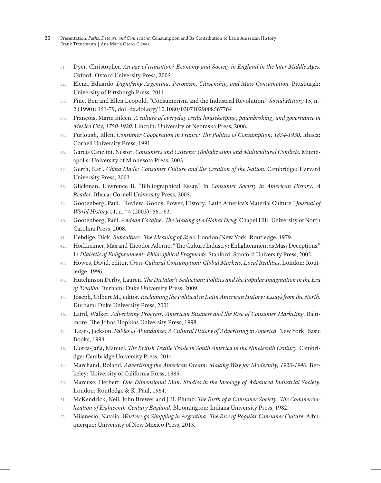- 31. Dyer, Christopher. *An age of transition? Economy and Society in England in the later Middle Ages*. Oxford: Oxford University Press, 2005.
- 32. Elena, Eduardo. *Dignifying Argentina: Peronism, Citizenship, and Mass Consumption.* Pittsburgh: University of Pittsburgh Press, 2011.
- 33. Fine, Ben and Ellen Leopold. "Consumerism and the Industrial Revolution." *Social History* 15, n.° 2 (1990): 151-79, doi: dx.doi.org/10.1080/03071029008567764
- 34. François, Marie Eileen. *A culture of everyday credit housekeeping, pawnbroking, and governance in Mexico City, 1750-1920*. Lincoln: University of Nebraska Press, 2006.
- 35. Furlough, Ellen. *Consumer Cooperation in France: The Politics of Consumption, 1834-1930*. Ithaca: Cornell University Press, 1991.
- 36. García Canclini, Néstor. *Consumers and Citizens: Globalization and Multicultural Conflicts*. Minneapolis: University of Minnesota Press, 2003.
- 37. Gerth, Karl. *China Made: Consumer Culture and the Creation of the Nation*. Cambridge: Harvard University Press, 2003.
- 38. Glickman, Lawrence B. "Bibliographical Essay." In *Consumer Society in American History: A Reader*. Ithaca: Cornell University Press, 2005.
- 39. Gootenberg, Paul. "Review: Goods, Power, History: Latin America's Material Culture." *Journal of World History* 14, n. ° 4 (2003): 561-63.
- 40. Gootenberg, Paul. *Andean Cocaine: The Making of a Global Drug*. Chapel Hill: University of North Carolina Press, 2008.
- 41. Hebdige, Dick. *Subculture: The Meaning of Style*. London/New York: Routledge, 1979.
- 42. Horkheimer, Max and Theodor Adorno. "The Culture Industry: Enlightenment as Mass Deceptions." In *Dialectic of Enlightenment: Philosophical Fragments*. Stanford: Stanford University Press, 2002.
- 43. Howes, David, editor. *Cross-Cultural Consumption: Global Markets, Local Realities*. London: Routledge, 1996.
- 44. Hutchinson Derby, Lauren. *The Dictator's Seduction: Politics and the Popular Imagination in the Era of Trujillo*. Durham: Duke University Press, 2009.
- 45. Joseph, Gilbert M., editor. *Reclaiming the Political in Latin American History: Essays from the North*. Durham: Duke University Press, 2001.
- 46. Laird, Walker. *Advertising Progress: American Business and the Rise of Consumer Marketing.* Baltimore: The Johns Hopkins University Press, 1998.
- 47. Lears, Jackson. *Fables of Abundance: A Cultural History of Advertising in America.* New York: Basic Books, 1994.
- 48. Llorca-Jaña, Manuel. *The British Textile Trade in South America in the Nineteenth Century.* Cambridge: Cambridge University Press, 2014.
- 49. Marchand, Roland. *Advertising the American Dream: Making Way for Modernity, 1920-1940.* Berkeley: University of California Press, 1985.
- 50. Marcuse, Herbert. *One Dimensional Man. Studies in the Ideology of Advanced Industrial Society*. London: Routledge & K. Paul, 1964.
- 51. McKendrick, Neil, John Brewer and J.H. Plumb. *The Birth of a Consumer Society: The Commercialization of Eighteenth-Century England*. Bloomington: Indiana University Press, 1982.
- 52. Milanesio, Natalia. *Workers go Shopping in Argentina: The Rise of Popular Consumer Culture*. Albuquerque: University of New Mexico Press, 2013.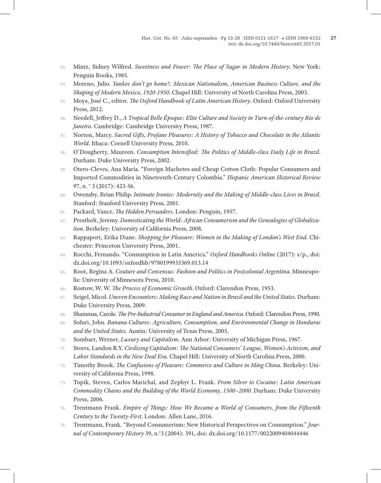- 53. Mintz, Sidney Wilfred. *Sweetness and Power: The Place of Sugar in Modern History*. New York: Penguin Books, 1985.
- 54. Moreno, Julio. *Yankee don't go home!: Mexican Nationalism, American Business Culture, and the Shaping of Modern Mexico, 1920-1950*. Chapel Hill: University of North Carolina Press, 2003.
- 55. Moya, José C., editor. *The Oxford Handbook of Latin American History*. Oxford: Oxford University Press, 2012.
- 56. Needell, Jeffrey D., *A Tropical Belle Époque: Elite Culture and Society in Turn-of-the-century Rio de Janeiro*. Cambridge: Cambridge University Press, 1987.
- 57. Norton, Marcy. *Sacred Gifts, Profane Pleasures: A History of Tobacco and Chocolate in the Atlantic World*. Ithaca: Cornell University Press, 2010.
- 58. O'Dougherty, Maureen. *Consumption Intensified: The Politics of Middle-class Daily Life in Brazil*. Durham: Duke University Press, 2002.
- 59. Otero-Cleves, Ana María. "Foreign Machetes and Cheap Cotton Cloth: Popular Consumers and Imported Commodities in Nineteenth-Century Colombia." *Hispanic American Historical Review*  97, n. ° 3 (2017): 423-56.
- 60. Owensby, Brian Philip. *Intimate Ironies: Modernity and the Making of Middle-class Lives in Brazil*. Stanford: Stanford University Press, 2001.
- 61. Packard, Vance. *The Hidden Persuaders*. London: Penguin, 1957.
- 62. Prestholt, Jeremy. *Domesticating the World: African Consumerism and the Genealogies of Globalization*. Berkeley: University of California Press, 2008.
- 63. Rappaport, Erika Diane. *Shopping for Pleasure: Women in the Making of London's West End*. Chichester: Princeton University Press, 2001.
- 64. Rocchi, Fernando. "Consumption in Latin America." *Oxford Handbooks Online* (2017): s/p., doi: dx.doi.org/10.1093/oxfordhb/9780199935369.013.14
- 65. Root, Regina A. *Couture and Consensus: Fashion and Politics in Postcolonial Argentina*. Minneapolis: University of Minnesota Press, 2010.
- 66. Rostow, W. W. *The Process of Economic Growth*. Oxford: Clarendon Press, 1953.
- 67. Seigel, Micol. *Uneven Encounters: Making Race and Nation in Brazil and the United States*. Durham: Duke University Press, 2009.
- 68. Shammas, Carole. *The Pre-Industrial Consumer in England and America*. Oxford: Clarendon Press, 1990.
- 69. Soluri, John. *Banana Cultures: Agriculture, Consumption, and Environmental Change in Honduras and the United States.* Austin: University of Texas Press, 2005.
- 70. Sombart, Werner. *Luxury and Capitalism*. Ann Arbor: University of Michigan Press, 1967.
- 71. Storrs, Landon R.Y. *Civilizing Capitalism: The National Consumers' League, Women's Activism, and Labor Standards in the New Deal Era*. Chapel Hill: University of North Carolina Press, 2000.
- 72. Timothy Brook. *The Confusions of Pleasure: Commerce and Culture in Ming China.* Berkeley: University of California Press, 1998.
- 73. Topik, Steven, Carlos Marichal, and Zephyr L. Frank. *From Silver to Cocaine: Latin American Commodity Chains and the Building of the World Economy, 1500–2000*. Durham: Duke University Press, 2006.
- 74. Trentmann Frank. *Empire of Things: How We Became a World of Consumers, from the Fifteenth Century to the Twenty-First*. London: Allen Lane, 2016.
- 75. Trentmann, Frank. "Beyond Consumerism: New Historical Perspectives on Consumption." *Journal of Contemporary History* 39, n.°3 (2004): 391, doi: dx.doi.org/10.1177/0022009404044446